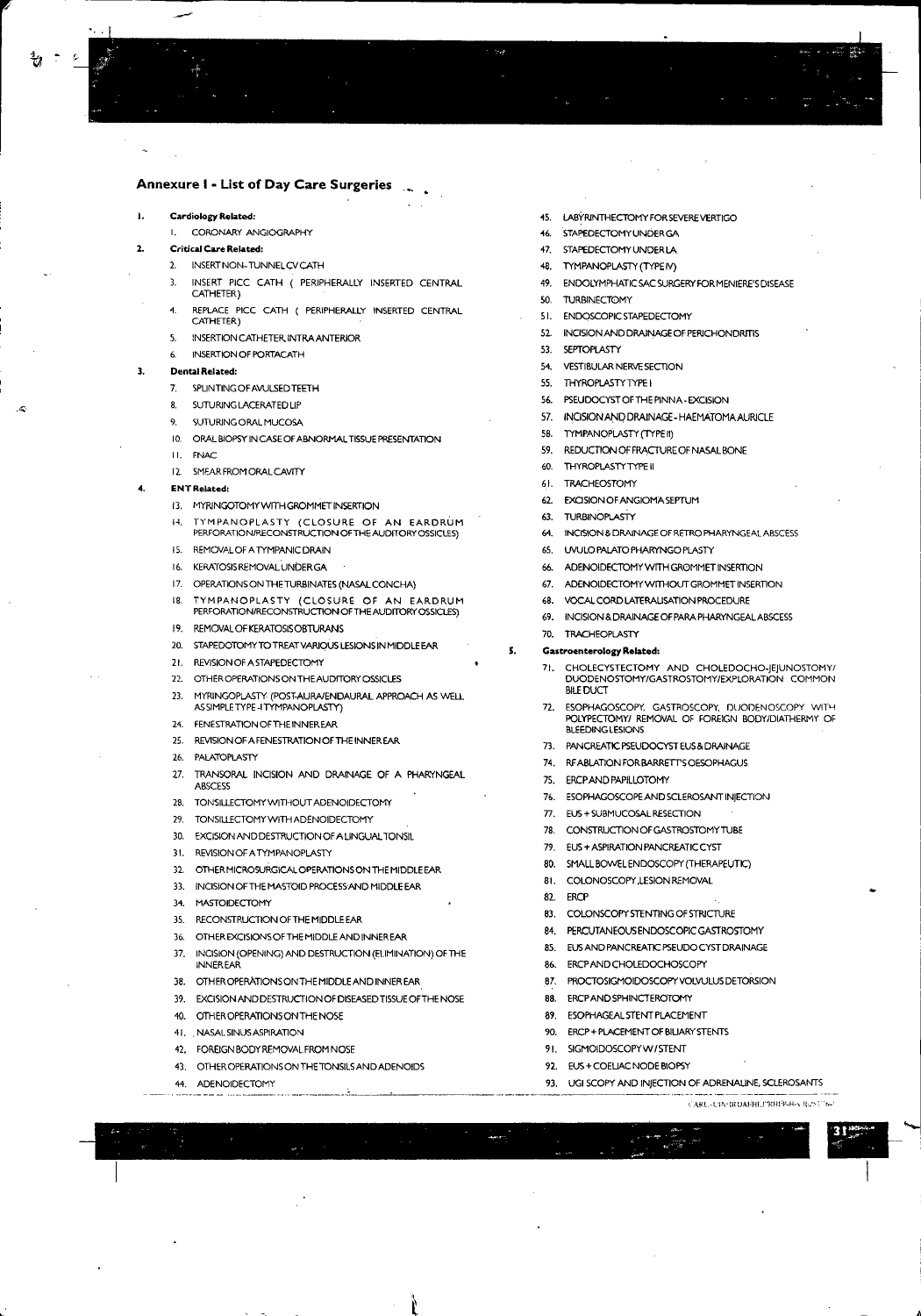#### I. **Cardiology Related:**

**t. CORONARY ANGIOGRAPHY**

#### 2. **Critical Care Related:**

- 2. INSERTNON. TUNNEL CV CATH
- 3. INSERT PICC CATH ( PERIPHERALLY INSERTED CENTRAL CATHETER)
- **4. REPLACE Pice CATH ( PERIPHEAALLY INSERTED CENTRAL** CATHETER)
- 5. INSERTIONCATHETER,INTRAANTERIOR
- 6. INSERTIONOF PORTACATH

#### 3. **Dental Related:**

- **7. 5PlINTINGOFAVULSEDTEETH**
- 8. SUTURING LACERATED LIP
- 9. SUTURING ORAL MUCOSA
- 10. ORAL BIOPSY IN CASE OF ABNORMAL TISSUE PRESENTATION
- **II. FNAC**
- 12. SMEARFROMORALCAvrrY

#### 4. **ENT Related:**

- 13. MYRINGOTOMY WITH GROMMET INSERTION
- **H. TYMPANOPLASTY (CLOSURE OF AN EARDRUM PERFORATION/RECONSTRUCTION OFTHE AUDITORY OSSICLE\$)**
- 15. REMOVALOF A TYMPANIC DRAIN
- 16. KEAAIOSISREMOVALUNDER GA
- 17. OPERATIONS ON THE TURBINATES (NASAL CONCHA)
- **lB. TYMPANOPLASTY (CLOSURE OF AN EARDRUM** PERFORATION/RECONSTRUCTION OFTHE AUDITORYOSSICLES)
- 19. REMOVALOFKERATOSISOBTURANS
- 20. STAPEDOTOMYTO TREATVARIOUS LESIONSIN MIDDLE EAR
- 21. REVISIONOFASTAPEDECTOMY
- 22. OTHER OPERATIONS ON THE AUDITORY OSSICLES
- 23. MYRINGOPLASTY (POST-AURAIENDAURAL APPROACH AS WELL ASSIMPLETYPE-ITYMPANOPLASTY)
- 24. FENESTRATIONOFTHEINNEREAR
- 25. REVISIONOF A FENESTRATION OF THE INNER EAR
- 26. PALATOPLASTY
- 27. TRANSORAL INCISION AND DRAINAGE OF A PHARYNGEAL ABSCESS
- 28. TONSIlLECTOMY WITHOUT ADENOIDECTOMY
- 29. TONSIlLECTOMY WITH ADENOIDECTOMY
- 30. EXCISION AND DESTRUCTION OFA UNGUAL TONSIL
- 31. REVISIONOFATYMPANOPLASTY
- 32. OTHER MICROSURGICAL OPERATIONS ON THE MIDDLE EAR
- 33. INCISION OF THE MASTOID PROCESSAND MIDDLE EAR
- 34. MASTOIDECTOMY
- 35. RECONSTRUCTION OFTHE MIDDLE EAR
- 36. OTHER EXCISIONSOF THE MIDDLE AND INNER EAR
- 37. INCISION (OPENING) AND DESTRUCTION (ELIMINATION) OF THE INNER EAR
- 38. OTHER OPERATIONS ON THE MIDDLE AND INNER EAR
- 39. EXCISION AND DESTRUCTION OF DISEASEDTISSUEOFTHE NOSE
- 40. OTHEROPERATIONSONTHENOSE
- 41. . NASALSINUSASPlRATION
- 42. FOREIGNBODY REMOVAL FROM NOSE
- 43. OTHER OPERATIONS ON THE TONSILSAND ADENOIDS
- 44. ADENOIDECTOMY
- 4S. LABYRINTHECTOMY FOR SEVEREVERTIGO
- 46. STAPEDECTOMYUNDERGA
- 47. STAPEDECTOMYUNDER LA
- 48. TYMPANOPLASTY (TYPE*N)*
- 49. ENDOLYMPHATICSAC SURGERYFOR MENIERE'SDISEASE
- SO. TURBINECTOMY
- 51. ENDOSCOPIC STAPEDECTOMY
- 52. INCISION AND DRAINAGE OF PERICHONDRITIS
- 53. SEPTOPLASTY
- 54. VESTIBULARNERVESECTION
- 55. THYROPLASTYTYPE I
- 56. PSEUDOCYSTOF THE PINNA. EXCISION
- 57. INCISION AND DRAINAGE HAEMATOMA AURICLE
- 58. TYMPANOPLASTY (TYPE II)
- 59. REDUCTION OFFRACTURE OF NASAL BONE
- 60. THYROPLASTYTYPE II
- 61. TRACHEOSTOMY
- 62. EXCISION OFANGIOMA SEPTUM
- 63. TURBINOPILASTY
- 64. INCISION & DRAINAGE OF RETROPHARYNGEAL ABSCESS
- 65. UVULO PALATO PHARYNGO PLASTY
- 66. ADENOIDECTOMY WITH GROMMET INSERTION
- 67. ADENOIDECTOMYWITHOVTGROMMETINSERTION
- 68. VOCAlCORD LATERAUSATION PROCEDURE
- 69. INCISION &DRAlNAGE OF PARAPHARYNGEALABSCESS
- 70. TRACHEOPLASTY

#### s. **Gastroenterology Related:**

- 71. CHOLECYSTECTOMY AND CHOLEDOCHO.JEJUN05TOMY/ DUODENOSTOMY/GASTR05TOMY/EXPLORATION COMMON BILEDUCT
- 72. ESOPHAGOSCOPY, GASTROSCOPY, DUODENOSCOPY WITH POLYPECTOMY/ REMOVAL OF FOREIGN BODY/DIATHERMY OF BLEEDING LESIONS
- 73. PANCREATIC PSEUDOCYSTEUS& DRAINAGE
- 74. RFABILATIONFORBARRETT'SOESOPHAGUS
- 75. ERCPAND PAPILLOTOMY
- 76. ESOPHAGOSCOPEAND SCLEROSANT INJECTION
- 77. EUS+ SUBMUCOSAL RESECTION
- 78. CONSTRUCTION OF GASTROSTOMY TUBE
- 79. EUS + ASPIRATION PANCREATIC CYST
- 80. SMALL BOWEL ENDOSCOPY (THERAPEUTIC)
- BI. COLONOSCOPY ,LESION REMOVAL
- 82. ERCP

• ~ "'~~ ~ • ~...", ri"\_ ~ • ..oiL-

- 83. COLONSCOPY STENTING OF STRICTURE
- 84. PERCUTANEOUSENDOSCOPIC GASTROSTOMY
- 85. EUSAND PANCREATIC PSEUDOCYST DRAINAGE
- 
- 86. ERCPANDCHOLEDOCHOSCOPY
- 87. PROCTOSIGMOIDOSCOPY VOLVULUS DETORSION
- 88. ERCPANDSPHINCTEROTOMY
- 89. ESOPHAGEALSTENTPLACEMENT
- 90. ERCP + PLACEMENT OF BILIARY STENTS
- 91. SIGMOIDOSCOPYW/STENT
- 92. EUS+COEUAC NODE BIOPSY
- 93. UGI SCOPY AND INJECTION OF ADRENALINE, SCLEROSANTS .,.. <sup>~</sup> <sup>~</sup> ~.- **.-**

I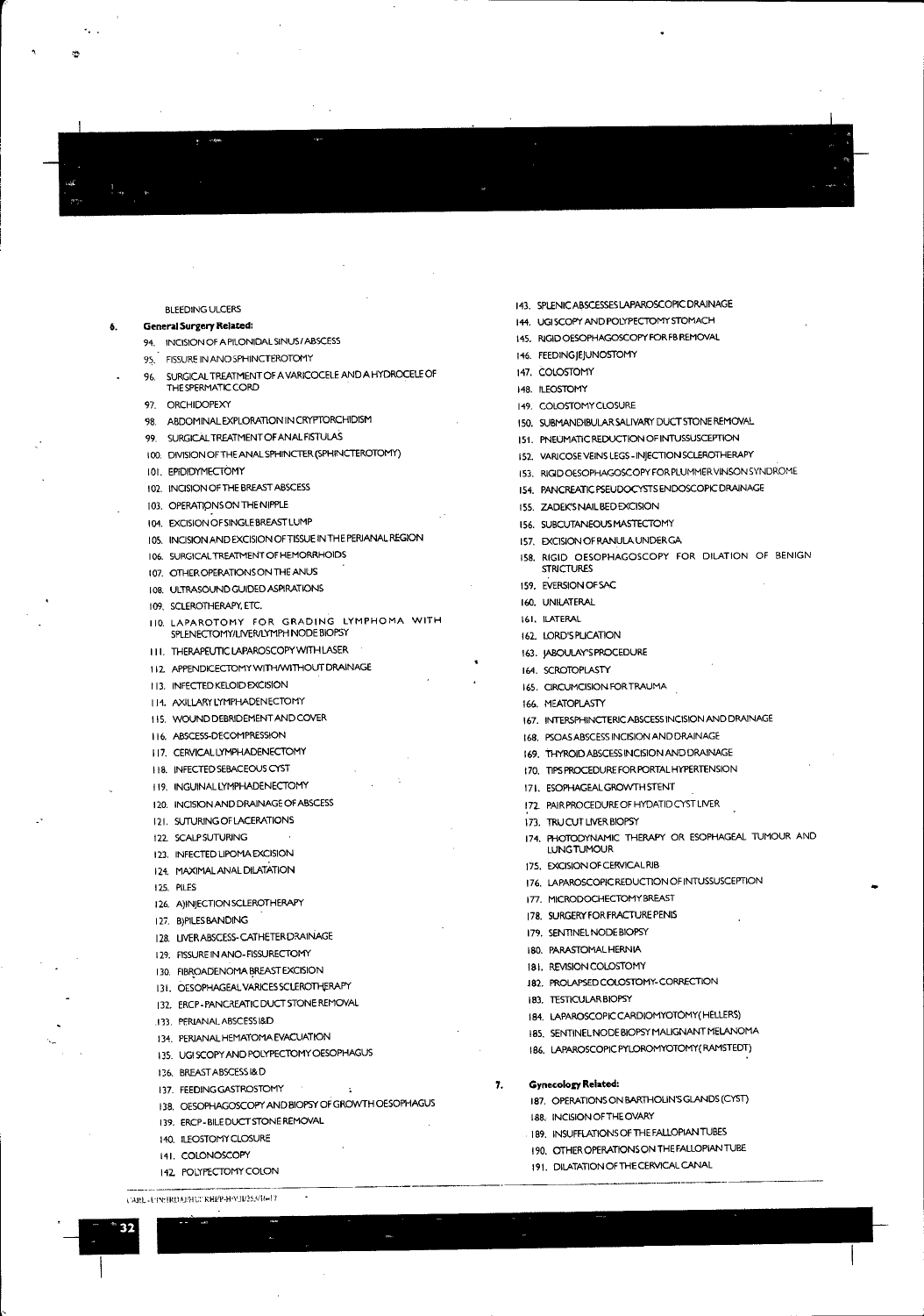# BLEEDING ULCERS

### **General Surgery Related:**

6,

"

 $\mathfrak{D}$ 

- **94. INCISION Of A PILONIDALSINUSI ABSCESS**
- 
- 95. FISSURE IN ANO SPHINCTEROTOMY
- %. SURGICALTREATMENT OF A VARICOCELE AND A HYDROCELE OF
- THE SPERMATICCORD 97. ORCHIDOPEXY
- 98. ABDOMINAL EXPLORATION IN CRYPTORCHIDISM
- 99. SURGICALTREATMENTOFANALFISTULAS
- 100. DIVISION OFTHEANAL SPHINCTER (SPHINCTEROTOMY)
- 101. EPIDIDYMECTOMY
- 102. INCISION OF THE BREAST ABSCESS
- 103. OPERATIONS ON THE NIPPLE
- 104. EXCiSIONOFSINGLEBREASTLUMP
- 105. INCISION AND EXCISION OF TISSUE IN THE PERIANAL REGION
- 106. SURGICAL TREATMENT OF HEMORRHOIDS
- 107. OTHEROPERATIONSONTHEANUS
- 108. ULTRASOUND GUIDED ASPIRATIONS
- 109. SCLEROTHERAPY.ETC.
- 110. LAPAROTOMY FOR GRADING lYMPHOMA WITH SPLENECTOMY/LNERILYMPH NODE BIOPSY
- III. THERAPEUTICLAPAROSCOPYWITHLASER
- 112 APPENDICECTOMY WITH/WITHOUT DRAINAGE
- 113. INFECTED KElOID EXCISION
- 114. AXILLARY LYMPHADENECTOMY
- II S. WOUND DEBRIDEMENT AND COVER
- 116. ABSCESS-DECOMPRESSION
- 117. CERVICAL LYMPHADENECTOMY
- 118. INFECTED SEBACEOUSCYST
- 119. INGUINAL LYMPHADENECTOMY
- 120. INCISION AND DRAINAGE OF ABSCESS
- 121. SUTURING OF LACERATIONS
- 122 SCALFSUTURING
- 123. INFECTED LIPOMA EXCISION
- 124, MAXIMALANALDILATATION
- 125. PILES
- 126. A)INJECTION SCLEROTHERAPY
- **12i.** B)PlLESBANDING
- 128. UVER ABSCESS-CATHETER DRAINAGE
- 129. RSSUREIN ANO. FISSURECTOMY
- 130. FIBROADENOMA BREAST EXCISION
- 131. OESOPHAGEAL VARICES SCLEROTHERAPY
- 132. ERCP-PANCREATIC DUCT STONE REMOVAL
- 
- 
- 135. UGI SCOPYAND POLYPECTOMY OESOPHAGUS
- **l36.** BRIEASTABSCESS1&D
- 137. FEEDING GASTROSTOMY 7,
- 138. OESOFHAGOSCOPY AND BIOPSYOF GROWTH OESOPHAGUS
- 138. INCISION OF THE CHARY<br>
139. ERCP-BILEDUCT STONEREMOWAL<br>
140. ILEOSTOMY CLOSURE<br>
141. COLONOSCOPY<br>
142. POLYPECTOMY COLON<br>
142. POLYPECTOMY COLON<br>
142. POLYPECTOMY COLON<br>
142. POLYPECTOMY COLON<br>
142. POLYPECTOMY COLON<br>
	-
	- **141.** CO!DNOSCOPY
	- 142. POLYPECTOMY COLON
	-

1

14S. R1GIDOESOPHAGOSCOPY FOR FBREMOVAL

146. FEEDINGJEJUNOSTOMY 147. COLOSTOMY 148. ILEOSTOMY 149. COLOSTOMY CLOSURE

ISS. ZADEK'S NAIL BED EXCISION 156. SUBCUTANEOUS MASTECTOMY 157. EXCISION OF RANULA UNDER GA

165. CIRCUMCISION FOR TRAUMA

171. ESOPHAGEALGROWTH STENT <sup>I</sup>*n* PAIRPROCEDURE OF HYDATID CYST LIVER

177. MICRODOCHECTOMYBREAST 178. SURGERYFOR FRACTURE PENIS 179. SENTINEL NODE BIOPSY 180. PARASTOMALHERNIA 181. REVISION CO!DSTOMY

J82. PROLAPSEDCOLOSTOMY. CORRECTION

184. LAPAROSCOPIC CARDIOMYOTOMY( HELLERS) 18S. SENTINELNODEBIOPSYMALIGNANTMELANOMA 186. LAPAROSCOPlC PYlDROMYOTOMY(RAMSTEDT)

187. OPERATlONSON BARTHOUNSGLANDS (CYST)

189. INSURFLATIONSOFTHE FALLOPIAN TUBES 190. OTHER OPERATIONS ON THE FALLOPIAN TUBE 191. DILATATlON OF THE CERVICAL CANAL

173. TRUCUT LIVER BIOPSY

LUNG TUMOUR 175. EXCISIONOFCERVICALRIB

183. TESTICULAR BIOPSY

**Gynecoloa Related:**

188. INCISIONOFTHEOVARY

**STRICTURES** 159. EVERSIONOFSAC 160. UNILATERAL **161. ILATERAL** 162. !DRD'S PliCATION 163. JABOULAY'S PROCEDURE 164. SCROTOPLASTY

166. MEATOPLASTY

- 
- 

ISO. SUBMANDIBULAR SALIVARY DUCT STONE REMOVAL 15'1. PNEUMATIC REDUCTION OF INTUSSUSCEPTION 152. VARICOSEVEINS LEGS• INJECTION SCLEROTHERAPY 153. RIGlDOESOPHAGOSCOPY FOR PLUMMERVINSON SYNDROME 154. PANCREATIC PSEUDOCYSTS ENDOSCOPIC DRAINAGE

158. RIGID OESOPHAGOSCOPY FOR DILATION OF BENIGN

167. INTERSPHINCTERICABSCESS INCISION AND DRAINAGE

174. PHOTODYNAMIC THERAPY OR ESOPHAGEAL TUMOUR AND

•.

176. LAPAROSCOPIC REDUCTlON OF INTUSSUSCEPTION

16B. PSOASABSCESSINCISION AND DRAINAGE 169. THYROID ABSCESSINCISION AND DRAINAGE 170. TlPSP1ROCEDUREFOR PORTAL HYPERTENSION

- 
- 
- 
- 
- 
- 
- 
- 
- 
- 
- 
- 
- 
- 
- 143. SPLENIC ABSCESSES LAPAROSCOPIC DRAINAGE
- 
- 
- 
- 
- 
- 
- 
- 
- 
- 
- 
- 
- 
- 144. UGISCOPY AND POLYPECTOMY STOMACH
- 
- 
- 
- 

- 
- **113.** PERIANAl. ABSCESSI&D
- 134. PERIANAL HEMATOMA EVACUATION
- 
- 
- 
- 
- **139.** ERCP. BILEDUCT STONE REMOVAL
- 140. ILEOSTOMY CLOSURE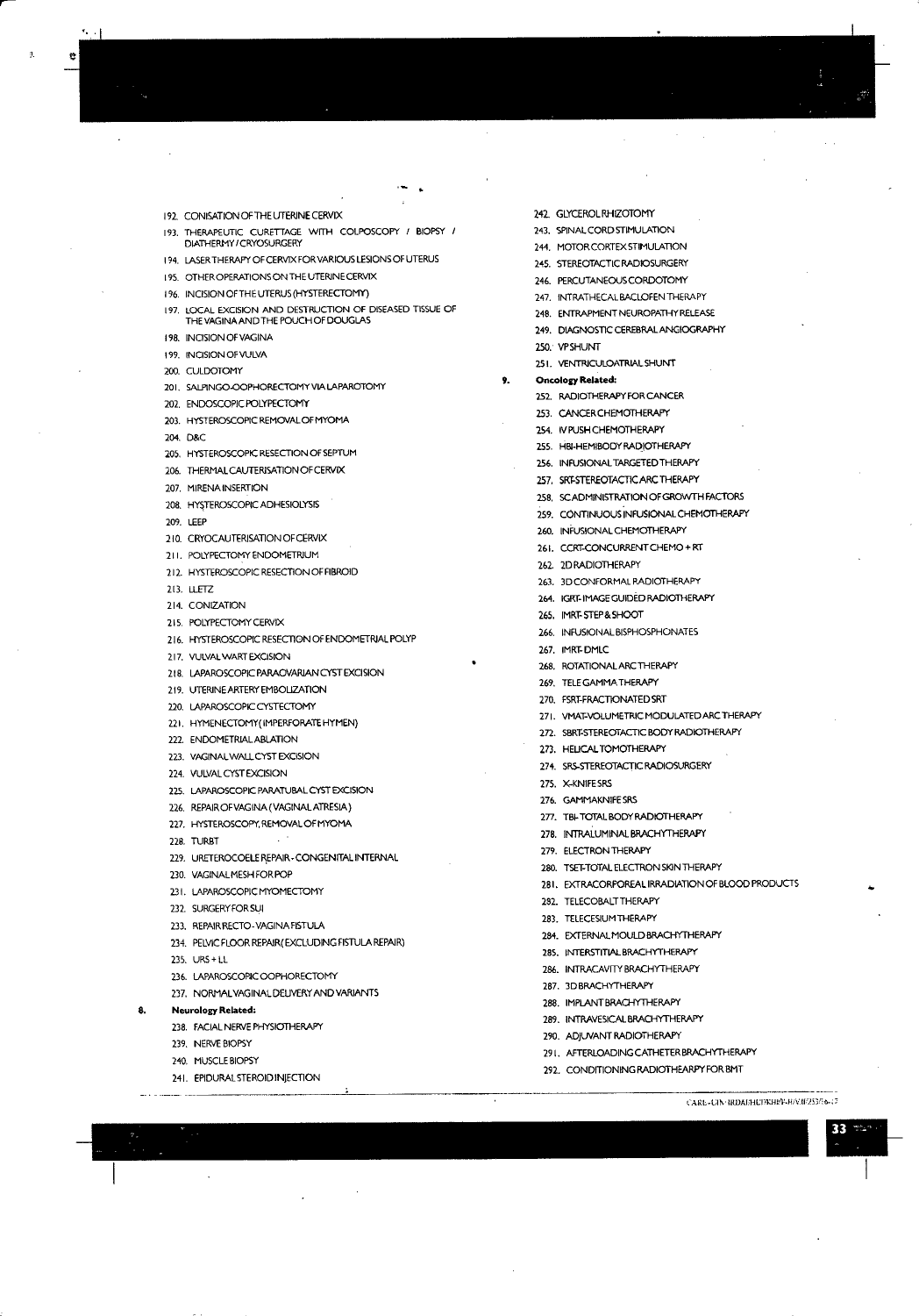192. CONISATION OF THE UTERINE CERVIX

- 193. THERAPEUTIC CURETTAGE WITH COLPOSCOPY / BIOPSY / DIATHFRMY/CRYOSURGERY
- 194. LASER THERAPY OF CERVIX FOR VARIOUS LESIONS OF UTERUS
- 195. OTHER OPERATIONS ON THE UTERINE CERVIX
- 196. INCISION OF THE UTERUS (HYSTERECTOMY)
- 197. LOCAL EXCISION AND DESTRUCTION OF DISEASED TISSUE OF THE VAGINA AND THE POUCH OF DOUGLAS
- 198. INCISION OF VAGINA
- 199. INCISION OF VULVA
- 200 CULDOTOMY

ŋ

- 201. SALPINGO-OOPHORECTOMY VIA LAPAROTOMY
- 202. ENDOSCOPIC POLYPECTOMY
- 203. HYSTEROSCOPIC REMOVAL OF MYOMA
- 204. D&C
- 205. HYSTEROSCOPIC RESECTION OF SEPTUM
- 206. THERMAL CAUTERISATION OF CERVIX
- 207. MIRENA INSERTION
- 208. HYSTEROSCOPIC ADHESIOLYSIS
- 209. LEEP
- 210. CRYOCAUTERISATION OF CERVIX
- 211. POLYPECTOMY ENDOMETRIUM
- 212. HYSTEROSCOPIC RESECTION OF FIBROID
- 213. LLETZ
- 214. CONIZATION
- 215. POLYPECTOMY CERVIX
- 216. HYSTEROSCOPIC RESECTION OF ENDOMETRIAL POLYP
- 217. VULVAL WART EXCISION
- 218. LAPAROSCOPIC PARAOVARIAN CYST EXCISION
- 219. UTERINE ARTERY EMBOLIZATION
- 220. LAPAROSCOPIC CYSTECTOMY
- 221. HYMENECTOMY (IMPERFORATE HYMEN)
- 222. ENDOMETRIAL ABLATION
- 223. VAGINALWALL CYST EXCISION
- 224. VULVAL CYST EXCISION
- 225. LAPAROSCOPIC PARATUBAL CYST EXCISION
- 226. REPAIR OF VAGINA (VAGINAL ATRESIA)
- 227. HYSTEROSCOPY, REMOVAL OF MYOMA
- 22R TURRT
- 229. URETEROCOELE REPAIR CONGENITAL INTERNAL
- 230. VAGINALMESH FOR POP
- 231. LAPAROSCOPIC MYOMECTOMY
- 232. SURGERY FOR SUI
- 233. REPAIR RECTO-VAGINA FISTULA
- 234. PELVIC FLOOR REPAIR (EXCLUDING FISTULA REPAIR)
- 235 URS+11
- 236. LAPAROSCOPIC OOPHORECTOMY
- 237. NORMAL VAGINAL DELIVERY AND VARIANTS

#### **Neurology Related:** 8.

- 238. FACIAL NERVE PHYSIOTHERAPY
- 239. NERVE BIOPSY
- 240. MUSCLE BIOPSY
- 241. EPIDURAL STEROID INJECTION
- 
- 242 GLYCEROLRHIZOTOMY
- 243. SPINAL CORD STIMULATION
- 244. MOTOR CORTEX STIMULATION
- 245. STEREOTACTIC RADIOSURGERY
- 246. PERCUTANEOUS CORDOTOMY
- 247. INTRATHECALBACLOFEN THERAPY
- 248. ENTRAPMENT NEUROPATHY RELEASE
- 249. DIAGNOSTIC CEREBRAL ANGIOGRAPHY
- 250. VPSHUNT
- 251. VENTRICULOATRIAL SHUNT
- $9.$ **Oncology Related:** 
	- 252. RADIOTHERAPY FOR CANCER
	- 253. CANCER CHEMOTHERAPY
	- 254. IV PUSH CHEMOTHERAPY
	- 255. HBI-HEMIBODY RADIOTHERAPY
	- 256. INFUSIONAL TARGETED THERAPY
	- 257. SRT-STEREOTACTIC ARC THERAPY
	- 258, SCADMINISTRATION OF GROWTH FACTORS
	- 259. CONTINUOUS INFUSIONAL CHEMOTHERAPY
	- 260. INFUSIONAL CHEMOTHERAPY
	- 261. CCRT-CONCURRENT CHEMO + RT
	- 262. 2D RADIOTHERAPY
	-
	- 263. 3D CONFORMAL RADIOTHERAPY
	- 264. IGRT-IMAGE GUIDED RADIOTHERAPY
	- 265. IMRT-STEP&SHOOT
	- 266. INFUSIONAL BISPHOSPHONATES
	- 267. IMRT-DMLC
	- 268. ROTATIONAL ARC THERAPY
	- 269. TELE GAMMA THERAPY
	- 270. FSRT-FRACTIONATED SRT
	- 271. VMAT-VOLUMETRIC MODULATED ARC THERAPY
	- 272. SBRT-STEREOTACTIC BODY RADIOTHERAPY
	-
	- 273. HELICAL TOMOTHERAPY
	- 274. SRS-STEREOTACTIC RADIOSURGERY
	- 275. X-KNIFE SRS
	- 276. GAMMAKNIFE SRS
	- 277. TBI-TOTAL BODY RADIOTHERAPY
	- 278. INTRALUMINAL BRACHYTHERAPY
	- 279. ELECTRON THERAPY
	-
	- 280. TSET-TOTAL ELECTRON SKIN THERAPY
	- 281. EXTRACORPOREAL IRRADIATION OF BLOOD PRODUCTS
	- 282. TELECOBALT THERAPY
	- 283. TELECESIUM THERAPY

287. 3D BRACHYTHERAPY

- 284. EXTERNALMOULD BRACHYTHERAPY
- 285. INTERSTITIAL BRACHYTHERAPY

286. INTRACAVITY BRACHYTHERAPY

289. INTRAVESICAL BRACHYTHERAPY

291. AFTERLOADING CATHETER BRACHYTHERAPY

САКЕ-СЛУ-ВОДЕНЕГЖНА-НАМИРАЗИ-17

33

292. CONDITIONING RADIOTHEARPY FOR BMT

288. IMPLANT BRACHYTHERAPY

290. ADJUVANT RADIOTHERAPY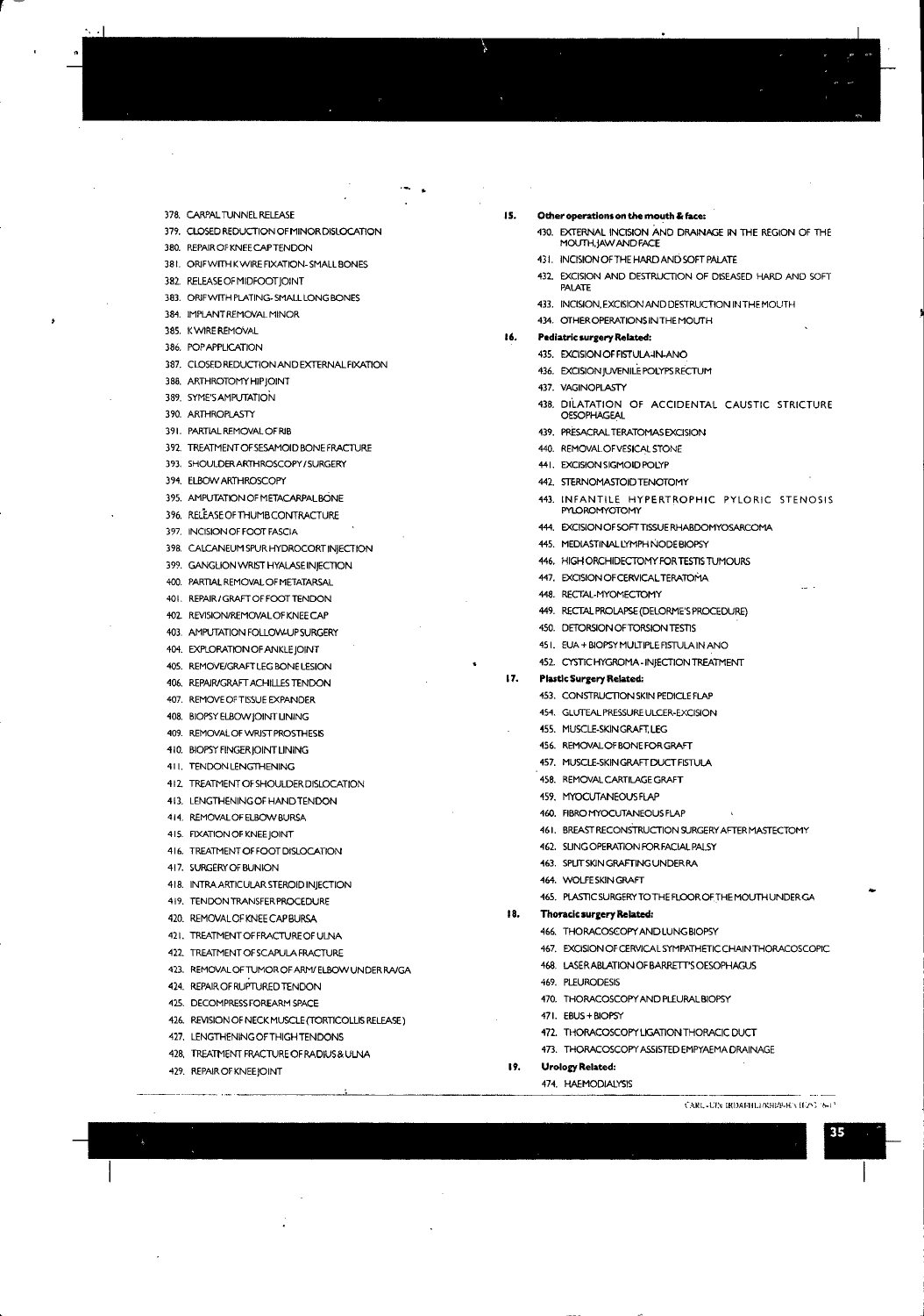378. CARPAL TUNNEL RELEASE 379. CLOSED REDUCTION OF MINOR DISLOCATION

380. REPAIROFKNEECAPTENDON

381. ORIF WITH K WIRE FIXATION-SMALL BONES

382. RELEA5EOFMIDFOOTjOlNT

383. ORlFWrTH PLATING. SMALL LONG BONES

384. IMPLANT REMOVAL MINOR

385. KWIRE REMOVAL

386. POPAPPLICATION

~--

387. CLOSED REDUCTION AND EXTERNAL FIXATION

388. MTHROTOMYHIPjOINT

389. SYME'SAMPUTATION

390. ARTHROPLASTY

391. PARTIALREMOVAL OF RJB

392. TREATMENTOFSESAMOIDBONEFRACTURE

393. SHOULDERAKTHROSCOPY ISURGERY

394. ELBOW ARTHROSCOPY

395. AMPUTATION OF METACARPAL BONE

396. RELEA5EOFTHUMBCONTRACTURE

397. INCISION OF FOOTFASCIA

398. CALCANEUM SPURHYDROCORT INJECTION

399. GANGLION WRIST HYALASE INJECTION

400. PARTIAL REMOVAL OF METATARSAL

401. REPAlR/GRAFTOFFOOTTENDON

402. REVISIONiREMOVALOFKNEECAP

403. AMPUTATION FOLLOWUPSURGERY

404. EXPLORATION OF ANKLE JOINrT

4OS. REMOVE/GRAFTLEG BONE LESION

406. REPAJR/GRAFTACHILLES TENDON

407. REMOVE OF TISSUE EXPANDER

408. BIOPSYELBOW JOINT UNING

409. REMOVAL OF WRIST PROSTHESIS

410. BIOPSY FINGER JOINT LINING

41 I. TENDON LENGTHENING

412. TREATMENT OF SHOULDER DISLOCATION

413. LENGTHENINGOFHANDTENDON

414. REMOVALOF ELBOW BURSA

415. RXATIONOFKNEEjOINT

416. TREATMENT OF FOOT DISLOCATION

417. SURGERYOFBUNION

418. INTRA ARTICULAR STEROID INjECTION

419. TENDON TRANSFER PROCEDURE

420. REMOVALOF KNEECAP BURSA

421. TREATMENT OF FRACTURE OF ULNA

422. TREATMENT OF SCAPULA FRACTURE

423. REMOVAL OF TUMOR OF ARM/ELBOW UNDER RA/GA

424. REPAIROF RUPTURED TENDON

425. DECOMPRESSFOREARM SPACE

426. REVISION OF NECK MUSCLE (TORTICOLLIS RELEASE)

427. LENGTHENINGOFTHIGHTENDONS

428. TREATMENT FRACTURE OF RADIUS& ULNA

429. REPAIROFKNEEjOINT

**IS.** Other operations on the mouth & face:

430. EXTERNAL INCISION AND DRAINAGE IN THE REGION OF THE MOUTH.jAW AND FACE

431. INCISIONOFTHEHMDANDSOFTPAJLATE

432. EXCISION AND DESTRUCTION OF DISEASED HARD AND SOFT PALATE

433. INCISION, EXCISION AND DESTRUCTION IN THE MOUTH

434. OTHEROPERATIONSINTHEMOUTH

**16.** Pediatric surgery Related:

435. EXCISION OF FISTULA-IN-ANO

436. EXCISIONjUVENILEPOLYPSRECTUM

437. VAGINOPLASTY

438. DILATATION OF ACCIDENTAL CAUSTIC STRICTURE **OESOPHAGEAL** 

439. PRESACRALTERATOMAS EXCISION

440. REMOVAL OF VESICALSTONE

441. EXCISION SIGMOID POLYP

442. STERNOMASTOID TENOTOMY

443. INFANTILE HYPERTROPHIC PYLORIC STENOSIS PYLOROMYOTOMY

444. EXCISION OF SOFT TISSUE RHABDOMYOSARCOMA

445. MEDIASTINALLYMPHNODEBIOPSY

446. HIGH ORCHIDECTOMY FOR TESTIS TUMOURS

447. EXCISION OF CERVICAL TERATOMA

44ll. RECTAL-MYOMECTOMY

449. RECTALPROLAPSE(DELORME'S PROCEDURE)

450. DETORSION OF TORSION TESTIS

4SI. EUA + BlOPSYMULTIPLERSTULA IN ANO

452. CYSTIC HYGROMA - INJECTION TREATMENT

## 17. **Plastic Surgery Related:**

453. CONSTRUCTION SKIN PEDICLE FLAP

454. GLUTEAL PRESSURE ULCER-EXCISION

455. MUSCLE-SKINGRAFT,LEG

456. REMOVAL OF BONE FOR GRAFT

457. MUSCLE-SKINGRAFT DUCT FISTULA

458. REMOVAL CARTILAGE GRAFT

459. MYOCUTANEOUSFLAP

460. FIBROMYOCUTANEOUS FLAP

461. BREASTRECONSTRUCTION SURGERYAFTER MASTECTOMY

462. SLING OPERATION FOR FACIAL PALSY

463. SPLlTSKINGRAFfiNGUNDERRA

464. WOLFE SKINGRAFT

465. PLASTIC SURGERY TO THE FLOOR OF THE MOUTH UNDER GA

**18. Thoracic surgery Related:**

466. THORACOSCOPY AND LUNG BlOPSY

467. EXCl510N OF CERVlCAL SYMPATHETICCHAIN THORACOSCOPIC

---<br>35<br>|<br>|

I

468. LASER ABLATION OF BARRETT'S OESOPHAGUS

469. PLEURODESIS

470. THORACOSCOPY AND PLEURALBIOPSY

471. EBU5+ BlOPSY

**19. UroloaRelated:** 474. HAEMODIALYSIS

472. THORACOSCOPY LIGATION THORACIC DUCT

473. THORACOSCOPY ASSISTEDEMPvAEMA DRAINAGE